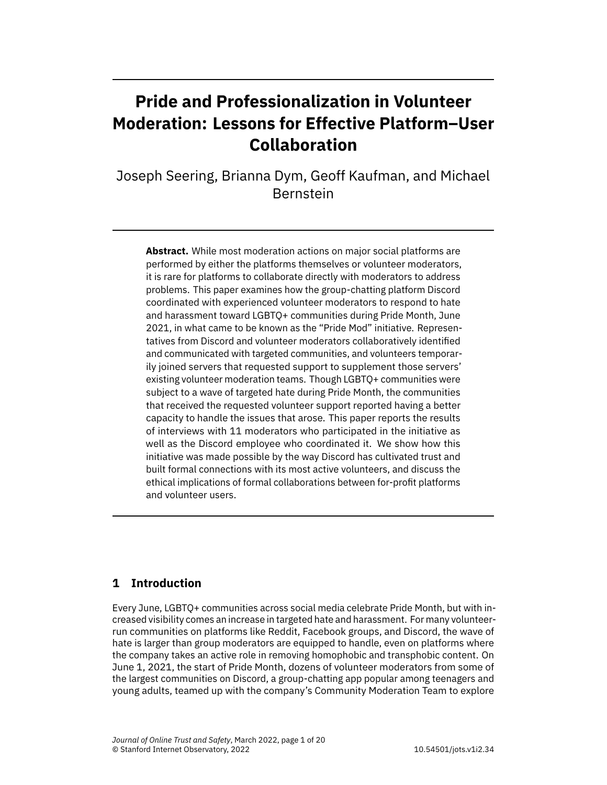# **Pride and Professionalization in Volunteer Moderation: Lessons for Effective Platform–User Collaboration**

Joseph Seering, Brianna Dym, Geoff Kaufman, and Michael Bernstein

**Abstract.** While most moderation actions on major social platforms are performed by either the platforms themselves or volunteer moderators, it is rare for platforms to collaborate directly with moderators to address problems. This paper examines how the group-chatting platform Discord coordinated with experienced volunteer moderators to respond to hate and harassment toward LGBTQ+ communities during Pride Month, June 2021, in what came to be known as the "Pride Mod" initiative. Representatives from Discord and volunteer moderators collaboratively identified and communicated with targeted communities, and volunteers temporarily joined servers that requested support to supplement those servers' existing volunteer moderation teams. Though LGBTQ+ communities were subject to a wave of targeted hate during Pride Month, the communities that received the requested volunteer support reported having a better capacity to handle the issues that arose. This paper reports the results of interviews with 11 moderators who participated in the initiative as well as the Discord employee who coordinated it. We show how this initiative was made possible by the way Discord has cultivated trust and built formal connections with its most active volunteers, and discuss the ethical implications of formal collaborations between for-profit platforms and volunteer users.

# **1 Introduction**

Every June, LGBTQ+ communities across social media celebrate Pride Month, but with increased visibility comes an increase in targeted hate and harassment. For many volunteerrun communities on platforms like Reddit, Facebook groups, and Discord, the wave of hate is larger than group moderators are equipped to handle, even on platforms where the company takes an active role in removing homophobic and transphobic content. On June 1, 2021, the start of Pride Month, dozens of volunteer moderators from some of the largest communities on Discord, a group-chatting app popular among teenagers and young adults, teamed up with the company's Community Moderation Team to explore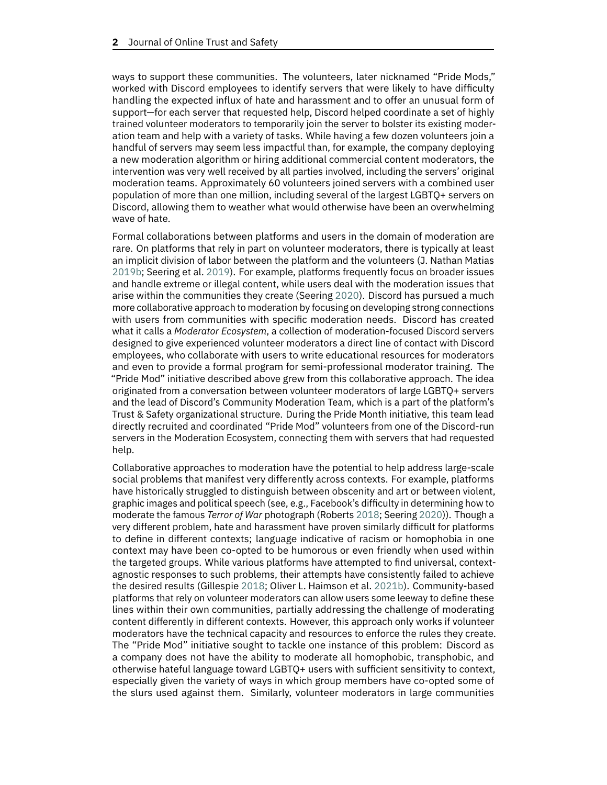ways to support these communities. The volunteers, later nicknamed "Pride Mods," worked with Discord employees to identify servers that were likely to have difficulty handling the expected influx of hate and harassment and to offer an unusual form of support—for each server that requested help, Discord helped coordinate a set of highly trained volunteer moderators to temporarily join the server to bolster its existing moderation team and help with a variety of tasks. While having a few dozen volunteers join a handful of servers may seem less impactful than, for example, the company deploying a new moderation algorithm or hiring additional commercial content moderators, the intervention was very well received by all parties involved, including the servers' original moderation teams. Approximately 60 volunteers joined servers with a combined user population of more than one million, including several of the largest LGBTQ+ servers on Discord, allowing them to weather what would otherwise have been an overwhelming wave of hate.

Formal collaborations between platforms and users in the domain of moderation are rare. On platforms that rely in part on volunteer moderators, there is typically at least an implicit division of labor between the platform and the volunteers (J. Nathan Matias [2019b;](#page-17-0) Seering et al. [2019\)](#page-18-0). For example, platforms frequently focus on broader issues and handle extreme or illegal content, while users deal with the moderation issues that arise within the communities they create (Seering [2020\)](#page-18-1). Discord has pursued a much more collaborative approach to moderation by focusing on developing strong connections with users from communities with specific moderation needs. Discord has created what it calls a *Moderator Ecosystem*, a collection of moderation-focused Discord servers designed to give experienced volunteer moderators a direct line of contact with Discord employees, who collaborate with users to write educational resources for moderators and even to provide a formal program for semi-professional moderator training. The "Pride Mod" initiative described above grew from this collaborative approach. The idea originated from a conversation between volunteer moderators of large LGBTQ+ servers and the lead of Discord's Community Moderation Team, which is a part of the platform's Trust & Safety organizational structure. During the Pride Month initiative, this team lead directly recruited and coordinated "Pride Mod" volunteers from one of the Discord-run servers in the Moderation Ecosystem, connecting them with servers that had requested help.

Collaborative approaches to moderation have the potential to help address large-scale social problems that manifest very differently across contexts. For example, platforms have historically struggled to distinguish between obscenity and art or between violent, graphic images and political speech (see, e.g., Facebook's difficulty in determining how to moderate the famous *Terror of War* photograph (Roberts [2018;](#page-17-1) Seering [2020\)](#page-18-1)). Though a very different problem, hate and harassment have proven similarly difficult for platforms to define in different contexts; language indicative of racism or homophobia in one context may have been co-opted to be humorous or even friendly when used within the targeted groups. While various platforms have attempted to find universal, contextagnostic responses to such problems, their attempts have consistently failed to achieve the desired results (Gillespie [2018;](#page-16-0) Oliver L. Haimson et al. [2021b\)](#page-16-1). Community-based platforms that rely on volunteer moderators can allow users some leeway to define these lines within their own communities, partially addressing the challenge of moderating content differently in different contexts. However, this approach only works if volunteer moderators have the technical capacity and resources to enforce the rules they create. The "Pride Mod" initiative sought to tackle one instance of this problem: Discord as a company does not have the ability to moderate all homophobic, transphobic, and otherwise hateful language toward LGBTQ+ users with sufficient sensitivity to context, especially given the variety of ways in which group members have co-opted some of the slurs used against them. Similarly, volunteer moderators in large communities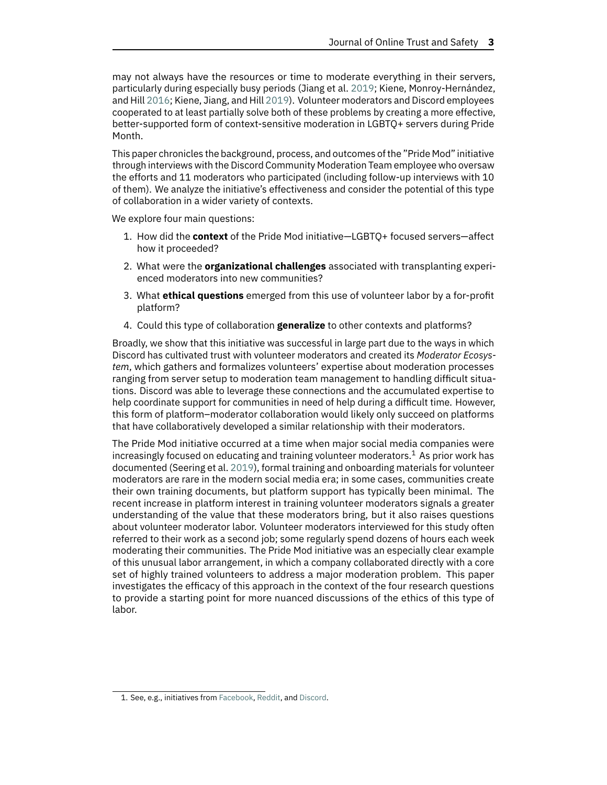may not always have the resources or time to moderate everything in their servers, particularly during especially busy periods (Jiang et al. [2019;](#page-16-2) Kiene, Monroy-Hernández, and Hill [2016;](#page-16-3) Kiene, Jiang, and Hill [2019\)](#page-16-4). Volunteer moderators and Discord employees cooperated to at least partially solve both of these problems by creating a more effective, better-supported form of context-sensitive moderation in LGBTQ+ servers during Pride Month.

This paper chronicles the background, process, and outcomes ofthe "Pride Mod" initiative through interviews with the Discord Community Moderation Team employee who oversaw the efforts and 11 moderators who participated (including follow-up interviews with 10 of them). We analyze the initiative's effectiveness and consider the potential of this type of collaboration in a wider variety of contexts.

We explore four main questions:

- 1. How did the **context** of the Pride Mod initiative—LGBTQ+ focused servers—affect how it proceeded?
- 2. What were the **organizational challenges** associated with transplanting experienced moderators into new communities?
- 3. What **ethical questions** emerged from this use of volunteer labor by a for-profit platform?
- 4. Could this type of collaboration **generalize** to other contexts and platforms?

Broadly, we show that this initiative was successful in large part due to the ways in which Discord has cultivated trust with volunteer moderators and created its *Moderator Ecosystem*, which gathers and formalizes volunteers' expertise about moderation processes ranging from server setup to moderation team management to handling difficult situations. Discord was able to leverage these connections and the accumulated expertise to help coordinate support for communities in need of help during a difficult time. However, this form of platform–moderator collaboration would likely only succeed on platforms that have collaboratively developed a similar relationship with their moderators.

The Pride Mod initiative occurred at a time when major social media companies were increasingly focused on educating and training volunteer moderators.<sup>1</sup> As prior work has documented (Seering et al. [2019\)](#page-18-0), formal training and onboarding materials for volunteer moderators are rare in the modern social media era; in some cases, communities create their own training documents, but platform support has typically been minimal. The recent increase in platform interest in training volunteer moderators signals a greater understanding of the value that these moderators bring, but it also raises questions about volunteer moderator labor. Volunteer moderators interviewed for this study often referred to their work as a second job; some regularly spend dozens of hours each week moderating their communities. The Pride Mod initiative was an especially clear example of this unusual labor arrangement, in which a company collaborated directly with a core set of highly trained volunteers to address a major moderation problem. This paper investigates the efficacy of this approach in the context of the four research questions to provide a starting point for more nuanced discussions of the ethics of this type of labor.

<span id="page-2-0"></span><sup>1.</sup> See, e.g., initiatives from [Facebook,](https://www.facebook.com/business/learn/lessons/moderate-a-group) [Reddit,](https://web.archive.org/web/20210909185103/https://old.reddit.com/r/modnews/comments/pl3ka2/mod_certification_programs_are_open_for_testing/) and [Discord.](https://web.archive.org/web/20211026165856/https://discord.com/moderation)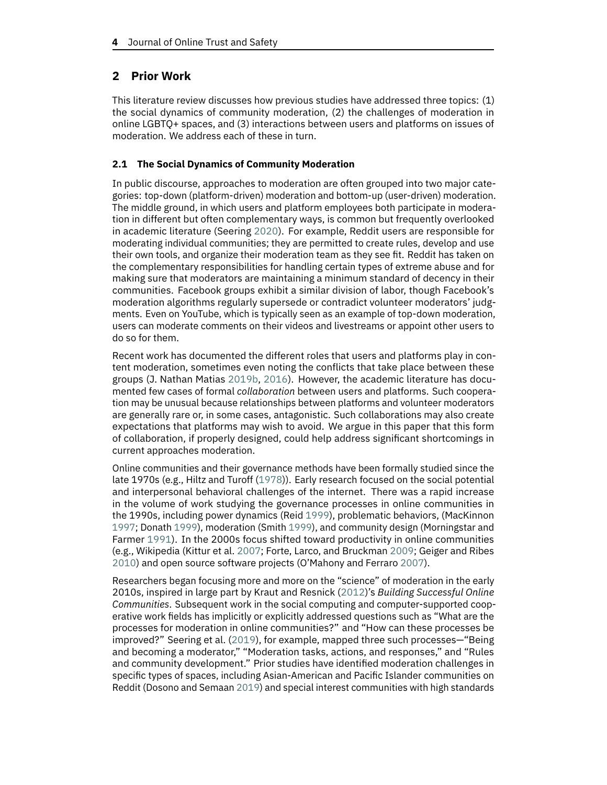# **2 Prior Work**

This literature review discusses how previous studies have addressed three topics: (1) the social dynamics of community moderation, (2) the challenges of moderation in online LGBTQ+ spaces, and (3) interactions between users and platforms on issues of moderation. We address each of these in turn.

# **2.1 The Social Dynamics of Community Moderation**

In public discourse, approaches to moderation are often grouped into two major categories: top-down (platform-driven) moderation and bottom-up (user-driven) moderation. The middle ground, in which users and platform employees both participate in moderation in different but often complementary ways, is common but frequently overlooked in academic literature (Seering [2020\)](#page-18-1). For example, Reddit users are responsible for moderating individual communities; they are permitted to create rules, develop and use their own tools, and organize their moderation team as they see fit. Reddit has taken on the complementary responsibilities for handling certain types of extreme abuse and for making sure that moderators are maintaining a minimum standard of decency in their communities. Facebook groups exhibit a similar division of labor, though Facebook's moderation algorithms regularly supersede or contradict volunteer moderators' judgments. Even on YouTube, which is typically seen as an example of top-down moderation, users can moderate comments on their videos and livestreams or appoint other users to do so for them.

Recent work has documented the different roles that users and platforms play in content moderation, sometimes even noting the conflicts that take place between these groups (J. Nathan Matias [2019b,](#page-17-0) [2016\)](#page-17-2). However, the academic literature has documented few cases of formal *collaboration* between users and platforms. Such cooperation may be unusual because relationships between platforms and volunteer moderators are generally rare or, in some cases, antagonistic. Such collaborations may also create expectations that platforms may wish to avoid. We argue in this paper that this form of collaboration, if properly designed, could help address significant shortcomings in current approaches moderation.

Online communities and their governance methods have been formally studied since the late 1970s (e.g., Hiltz and Turoff [\(1978\)](#page-16-5)). Early research focused on the social potential and interpersonal behavioral challenges of the internet. There was a rapid increase in the volume of work studying the governance processes in online communities in the 1990s, including power dynamics (Reid [1999\)](#page-17-3), problematic behaviors, (MacKinnon [1997;](#page-17-4) Donath [1999\)](#page-15-0), moderation (Smith [1999\)](#page-18-2), and community design (Morningstar and Farmer [1991\)](#page-17-5). In the 2000s focus shifted toward productivity in online communities (e.g., Wikipedia (Kittur et al. [2007;](#page-17-6) Forte, Larco, and Bruckman [2009;](#page-15-1) Geiger and Ribes [2010\)](#page-15-2) and open source software projects (O'Mahony and Ferraro [2007\)](#page-17-7).

Researchers began focusing more and more on the "science" of moderation in the early 2010s, inspired in large part by Kraut and Resnick [\(2012\)](#page-17-8)'s *Building Successful Online Communities*. Subsequent work in the social computing and computer-supported cooperative work fields has implicitly or explicitly addressed questions such as "What are the processes for moderation in online communities?" and "How can these processes be improved?" Seering et al. [\(2019\)](#page-18-0), for example, mapped three such processes—"Being and becoming a moderator," "Moderation tasks, actions, and responses," and "Rules and community development." Prior studies have identified moderation challenges in specific types of spaces, including Asian-American and Pacific Islander communities on Reddit (Dosono and Semaan [2019\)](#page-15-3) and special interest communities with high standards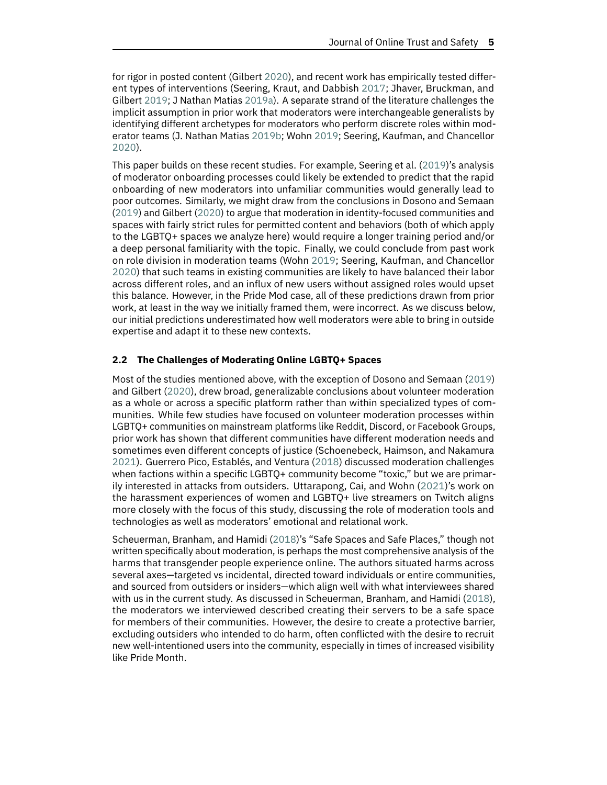for rigor in posted content (Gilbert [2020\)](#page-16-6), and recent work has empirically tested different types of interventions (Seering, Kraut, and Dabbish [2017;](#page-18-3) Jhaver, Bruckman, and Gilbert [2019;](#page-16-7) J Nathan Matias [2019a\)](#page-17-9). A separate strand of the literature challenges the implicit assumption in prior work that moderators were interchangeable generalists by identifying different archetypes for moderators who perform discrete roles within moderator teams (J. Nathan Matias [2019b;](#page-17-0) Wohn [2019;](#page-18-4) Seering, Kaufman, and Chancellor [2020\)](#page-18-5).

This paper builds on these recent studies. For example, Seering et al. [\(2019\)](#page-18-0)'s analysis of moderator onboarding processes could likely be extended to predict that the rapid onboarding of new moderators into unfamiliar communities would generally lead to poor outcomes. Similarly, we might draw from the conclusions in Dosono and Semaan [\(2019\)](#page-15-3) and Gilbert [\(2020\)](#page-16-6) to argue that moderation in identity-focused communities and spaces with fairly strict rules for permitted content and behaviors (both of which apply to the LGBTQ+ spaces we analyze here) would require a longer training period and/or a deep personal familiarity with the topic. Finally, we could conclude from past work on role division in moderation teams (Wohn [2019;](#page-18-4) Seering, Kaufman, and Chancellor [2020\)](#page-18-5) that such teams in existing communities are likely to have balanced their labor across different roles, and an influx of new users without assigned roles would upset this balance. However, in the Pride Mod case, all of these predictions drawn from prior work, at least in the way we initially framed them, were incorrect. As we discuss below, our initial predictions underestimated how well moderators were able to bring in outside expertise and adapt it to these new contexts.

## **2.2 The Challenges of Moderating Online LGBTQ+ Spaces**

Most of the studies mentioned above, with the exception of Dosono and Semaan [\(2019\)](#page-15-3) and Gilbert [\(2020\)](#page-16-6), drew broad, generalizable conclusions about volunteer moderation as a whole or across a specific platform rather than within specialized types of communities. While few studies have focused on volunteer moderation processes within LGBTQ+ communities on mainstream platforms like Reddit, Discord, or Facebook Groups, prior work has shown that different communities have different moderation needs and sometimes even different concepts of justice (Schoenebeck, Haimson, and Nakamura [2021\)](#page-18-6). Guerrero Pico, Establés, and Ventura [\(2018\)](#page-16-8) discussed moderation challenges when factions within a specific LGBTQ+ community become "toxic," but we are primarily interested in attacks from outsiders. Uttarapong, Cai, and Wohn [\(2021\)](#page-18-7)'s work on the harassment experiences of women and LGBTQ+ live streamers on Twitch aligns more closely with the focus of this study, discussing the role of moderation tools and technologies as well as moderators' emotional and relational work.

Scheuerman, Branham, and Hamidi [\(2018\)](#page-17-10)'s "Safe Spaces and Safe Places," though not written specifically about moderation, is perhaps the most comprehensive analysis of the harms that transgender people experience online. The authors situated harms across several axes—targeted vs incidental, directed toward individuals or entire communities, and sourced from outsiders or insiders—which align well with what interviewees shared with us in the current study. As discussed in Scheuerman, Branham, and Hamidi [\(2018\)](#page-17-10), the moderators we interviewed described creating their servers to be a safe space for members of their communities. However, the desire to create a protective barrier, excluding outsiders who intended to do harm, often conflicted with the desire to recruit new well-intentioned users into the community, especially in times of increased visibility like Pride Month.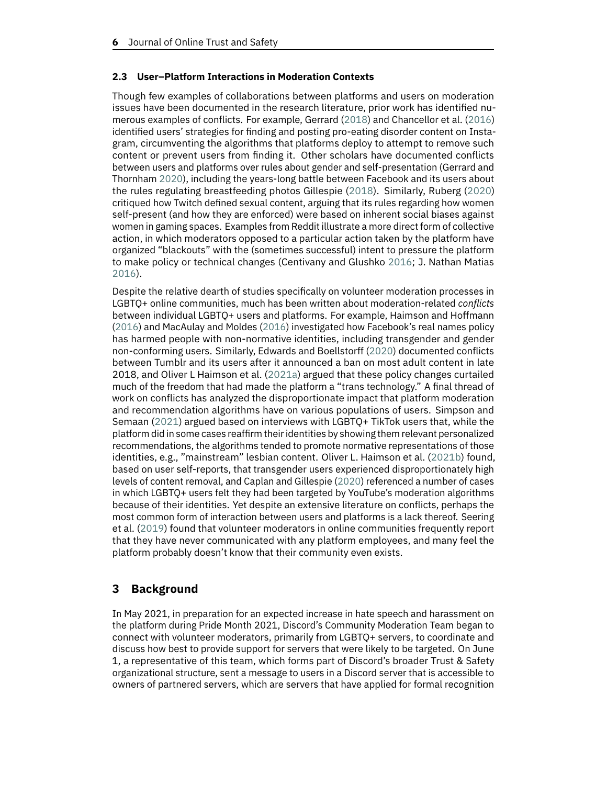#### **2.3 User–Platform Interactions in Moderation Contexts**

Though few examples of collaborations between platforms and users on moderation issues have been documented in the research literature, prior work has identified numerous examples of conflicts. For example, Gerrard [\(2018\)](#page-15-4) and Chancellor et al. [\(2016\)](#page-15-5) identified users' strategies for finding and posting pro-eating disorder content on Instagram, circumventing the algorithms that platforms deploy to attempt to remove such content or prevent users from finding it. Other scholars have documented conflicts between users and platforms over rules about gender and self-presentation (Gerrard and Thornham [2020\)](#page-16-9), including the years-long battle between Facebook and its users about the rules regulating breastfeeding photos Gillespie [\(2018\)](#page-16-0). Similarly, Ruberg [\(2020\)](#page-17-11) critiqued how Twitch defined sexual content, arguing that its rules regarding how women self-present (and how they are enforced) were based on inherent social biases against women in gaming spaces. Examples from Reddit illustrate a more direct form of collective action, in which moderators opposed to a particular action taken by the platform have organized "blackouts" with the (sometimes successful) intent to pressure the platform to make policy or technical changes (Centivany and Glushko [2016;](#page-15-6) J. Nathan Matias [2016\)](#page-17-2).

Despite the relative dearth of studies specifically on volunteer moderation processes in LGBTQ+ online communities, much has been written about moderation-related *conflicts* between individual LGBTQ+ users and platforms. For example, Haimson and Hoffmann [\(2016\)](#page-16-10) and MacAulay and Moldes [\(2016\)](#page-17-12) investigated how Facebook's real names policy has harmed people with non-normative identities, including transgender and gender non-conforming users. Similarly, Edwards and Boellstorff [\(2020\)](#page-15-7) documented conflicts between Tumblr and its users after it announced a ban on most adult content in late 2018, and Oliver L Haimson et al. [\(2021a\)](#page-16-11) argued that these policy changes curtailed much of the freedom that had made the platform a "trans technology." A final thread of work on conflicts has analyzed the disproportionate impact that platform moderation and recommendation algorithms have on various populations of users. Simpson and Semaan [\(2021\)](#page-18-8) argued based on interviews with LGBTQ+ TikTok users that, while the platform did in some cases reaffirm theiridentities by showing them relevant personalized recommendations, the algorithms tended to promote normative representations of those identities, e.g., "mainstream" lesbian content. Oliver L. Haimson et al. [\(2021b\)](#page-16-1) found, based on user self-reports, that transgender users experienced disproportionately high levels of content removal, and Caplan and Gillespie [\(2020\)](#page-15-8) referenced a number of cases in which LGBTQ+ users felt they had been targeted by YouTube's moderation algorithms because of their identities. Yet despite an extensive literature on conflicts, perhaps the most common form of interaction between users and platforms is a lack thereof. Seering et al. [\(2019\)](#page-18-0) found that volunteer moderators in online communities frequently report that they have never communicated with any platform employees, and many feel the platform probably doesn't know that their community even exists.

# **3 Background**

In May 2021, in preparation for an expected increase in hate speech and harassment on the platform during Pride Month 2021, Discord's Community Moderation Team began to connect with volunteer moderators, primarily from LGBTQ+ servers, to coordinate and discuss how best to provide support for servers that were likely to be targeted. On June 1, a representative of this team, which forms part of Discord's broader Trust & Safety organizational structure, sent a message to users in a Discord server that is accessible to owners of partnered servers, which are servers that have applied for formal recognition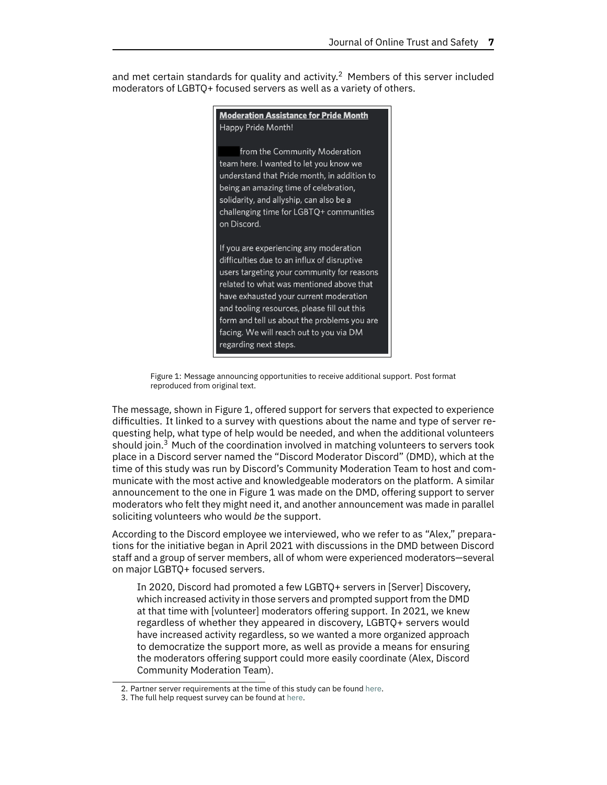<span id="page-6-1"></span>and met certain standards for quality and activity.<sup>2</sup> Members of this server included moderators of LGBTQ+ focused servers as well as a variety of others.

> **Moderation Assistance for Pride Month** Happy Pride Month! from the Community Moderation team here. I wanted to let you know we understand that Pride month, in addition to being an amazing time of celebration, solidarity, and allyship, can also be a challenging time for LGBTQ+ communities on Discord. If you are experiencing any moderation difficulties due to an influx of disruptive users targeting your community for reasons related to what was mentioned above that have exhausted your current moderation and tooling resources, please fill out this form and tell us about the problems you are facing. We will reach out to you via DM regarding next steps.

Figure 1: Message announcing opportunities to receive additional support. Post format reproduced from original text.

The message, shown in Figure [1,](#page-6-1) offered support for servers that expected to experience difficulties. It linked to a survey with questions about the name and type of server requesting help, what type of help would be needed, and when the additional volunteers should join. $3$  Much of the coordination involved in matching volunteers to servers took place in a Discord server named the "Discord Moderator Discord" (DMD), which at the time of this study was run by Discord's Community Moderation Team to host and communicate with the most active and knowledgeable moderators on the platform. A similar announcement to the one in Figure [1](#page-6-1) was made on the DMD, offering support to server moderators who felt they might need it, and another announcement was made in parallel soliciting volunteers who would *be* the support.

According to the Discord employee we interviewed, who we refer to as "Alex," preparations for the initiative began in April 2021 with discussions in the DMD between Discord staff and a group of server members, all of whom were experienced moderators—several on major LGBTQ+ focused servers.

In 2020, Discord had promoted a few LGBTQ+ servers in [Server] Discovery, which increased activity in those servers and prompted support from the DMD at that time with [volunteer] moderators offering support. In 2021, we knew regardless of whether they appeared in discovery, LGBTQ+ servers would have increased activity regardless, so we wanted a more organized approach to democratize the support more, as well as provide a means for ensuring the moderators offering support could more easily coordinate (Alex, Discord Community Moderation Team).

<span id="page-6-0"></span><sup>2.</sup> Partner server requirements at the time of this study can be found [here.](https://web.archive.org/web/20210513131418/https://support.discord.com/hc/en-us/articles/115001494012-Discord-Partnership-Requirements)

<span id="page-6-2"></span><sup>3.</sup> The full help request survey can be found at [here.](https://web.archive.org/web/20211026005125/https://survey.alchemer.com/s3/6370343/LGBTQ-Moderation-Support-Request)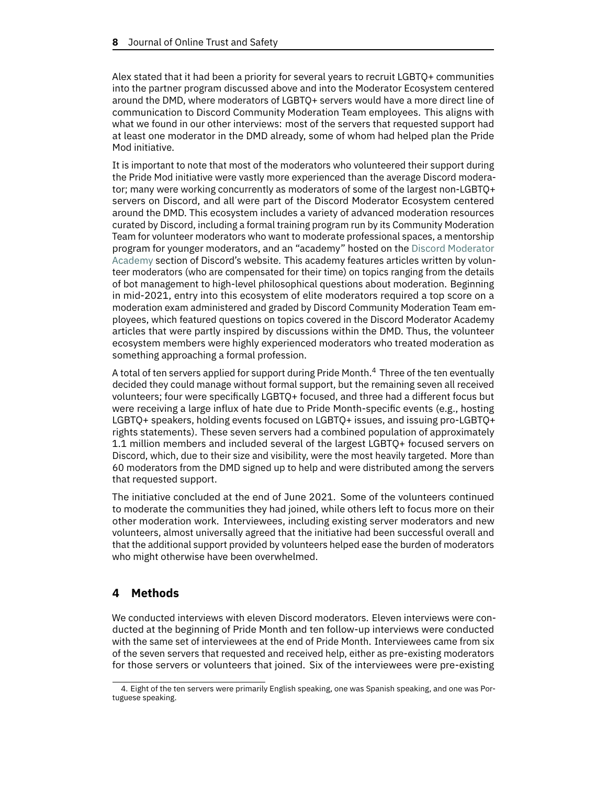Alex stated that it had been a priority for several years to recruit LGBTQ+ communities into the partner program discussed above and into the Moderator Ecosystem centered around the DMD, where moderators of LGBTQ+ servers would have a more direct line of communication to Discord Community Moderation Team employees. This aligns with what we found in our other interviews: most of the servers that requested support had at least one moderator in the DMD already, some of whom had helped plan the Pride Mod initiative.

It is important to note that most of the moderators who volunteered their support during the Pride Mod initiative were vastly more experienced than the average Discord moderator; many were working concurrently as moderators of some of the largest non-LGBTQ+ servers on Discord, and all were part of the Discord Moderator Ecosystem centered around the DMD. This ecosystem includes a variety of advanced moderation resources curated by Discord, including a formal training program run by its Community Moderation Team for volunteer moderators who want to moderate professional spaces, a mentorship program for younger moderators, and an "academy" hosted on the Discord [Moderator](https://discord.com/moderation) [Academy](https://discord.com/moderation) section of Discord's website. This academy features articles written by volunteer moderators (who are compensated for their time) on topics ranging from the details of bot management to high-level philosophical questions about moderation. Beginning in mid-2021, entry into this ecosystem of elite moderators required a top score on a moderation exam administered and graded by Discord Community Moderation Team employees, which featured questions on topics covered in the Discord Moderator Academy articles that were partly inspired by discussions within the DMD. Thus, the volunteer ecosystem members were highly experienced moderators who treated moderation as something approaching a formal profession.

A total of ten servers applied for support during Pride Month.[4](#page-7-0) Three of the ten eventually decided they could manage without formal support, but the remaining seven all received volunteers; four were specifically LGBTQ+ focused, and three had a different focus but were receiving a large influx of hate due to Pride Month-specific events (e.g., hosting LGBTQ+ speakers, holding events focused on LGBTQ+ issues, and issuing pro-LGBTQ+ rights statements). These seven servers had a combined population of approximately 1.1 million members and included several of the largest LGBTQ+ focused servers on Discord, which, due to their size and visibility, were the most heavily targeted. More than 60 moderators from the DMD signed up to help and were distributed among the servers that requested support.

The initiative concluded at the end of June 2021. Some of the volunteers continued to moderate the communities they had joined, while others left to focus more on their other moderation work. Interviewees, including existing server moderators and new volunteers, almost universally agreed that the initiative had been successful overall and that the additional support provided by volunteers helped ease the burden of moderators who might otherwise have been overwhelmed.

# **4 Methods**

We conducted interviews with eleven Discord moderators. Eleven interviews were conducted at the beginning of Pride Month and ten follow-up interviews were conducted with the same set of interviewees at the end of Pride Month. Interviewees came from six of the seven servers that requested and received help, either as pre-existing moderators for those servers or volunteers that joined. Six of the interviewees were pre-existing

<span id="page-7-0"></span><sup>4.</sup> Eight of the ten servers were primarily English speaking, one was Spanish speaking, and one was Portuguese speaking.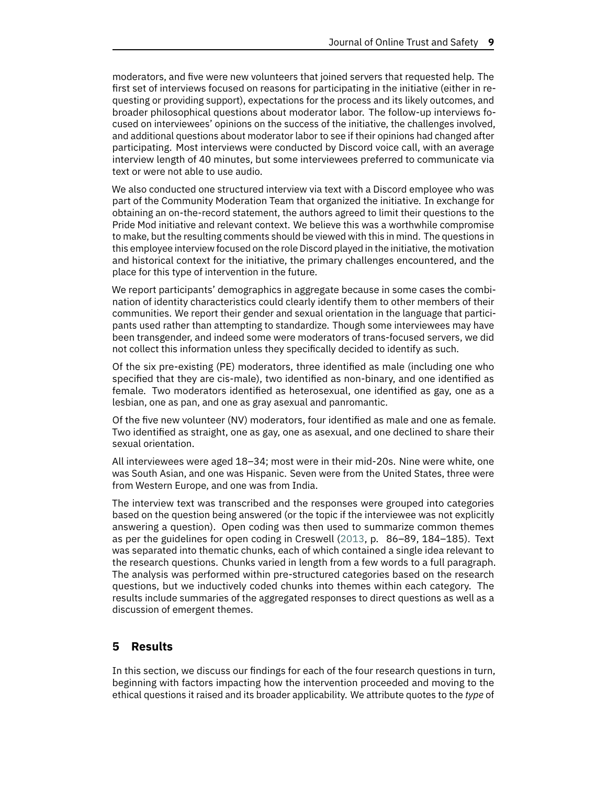moderators, and five were new volunteers that joined servers that requested help. The first set of interviews focused on reasons for participating in the initiative (either in requesting or providing support), expectations for the process and its likely outcomes, and broader philosophical questions about moderator labor. The follow-up interviews focused on interviewees' opinions on the success of the initiative, the challenges involved, and additional questions about moderator labor to see if their opinions had changed after participating. Most interviews were conducted by Discord voice call, with an average interview length of 40 minutes, but some interviewees preferred to communicate via text or were not able to use audio.

We also conducted one structured interview via text with a Discord employee who was part of the Community Moderation Team that organized the initiative. In exchange for obtaining an on-the-record statement, the authors agreed to limit their questions to the Pride Mod initiative and relevant context. We believe this was a worthwhile compromise to make, but the resulting comments should be viewed with this in mind. The questions in this employee interview focused on the role Discord played in the initiative, the motivation and historical context for the initiative, the primary challenges encountered, and the place for this type of intervention in the future.

We report participants' demographics in aggregate because in some cases the combination of identity characteristics could clearly identify them to other members of their communities. We report their gender and sexual orientation in the language that participants used rather than attempting to standardize. Though some interviewees may have been transgender, and indeed some were moderators of trans-focused servers, we did not collect this information unless they specifically decided to identify as such.

Of the six pre-existing (PE) moderators, three identified as male (including one who specified that they are cis-male), two identified as non-binary, and one identified as female. Two moderators identified as heterosexual, one identified as gay, one as a lesbian, one as pan, and one as gray asexual and panromantic.

Of the five new volunteer (NV) moderators, four identified as male and one as female. Two identified as straight, one as gay, one as asexual, and one declined to share their sexual orientation.

All interviewees were aged 18–34; most were in their mid-20s. Nine were white, one was South Asian, and one was Hispanic. Seven were from the United States, three were from Western Europe, and one was from India.

The interview text was transcribed and the responses were grouped into categories based on the question being answered (or the topic if the interviewee was not explicitly answering a question). Open coding was then used to summarize common themes as per the guidelines for open coding in Creswell [\(2013,](#page-15-9) p. 86–89, 184–185). Text was separated into thematic chunks, each of which contained a single idea relevant to the research questions. Chunks varied in length from a few words to a full paragraph. The analysis was performed within pre-structured categories based on the research questions, but we inductively coded chunks into themes within each category. The results include summaries of the aggregated responses to direct questions as well as a discussion of emergent themes.

## **5 Results**

In this section, we discuss our findings for each of the four research questions in turn, beginning with factors impacting how the intervention proceeded and moving to the ethical questions it raised and its broader applicability. We attribute quotes to the *type* of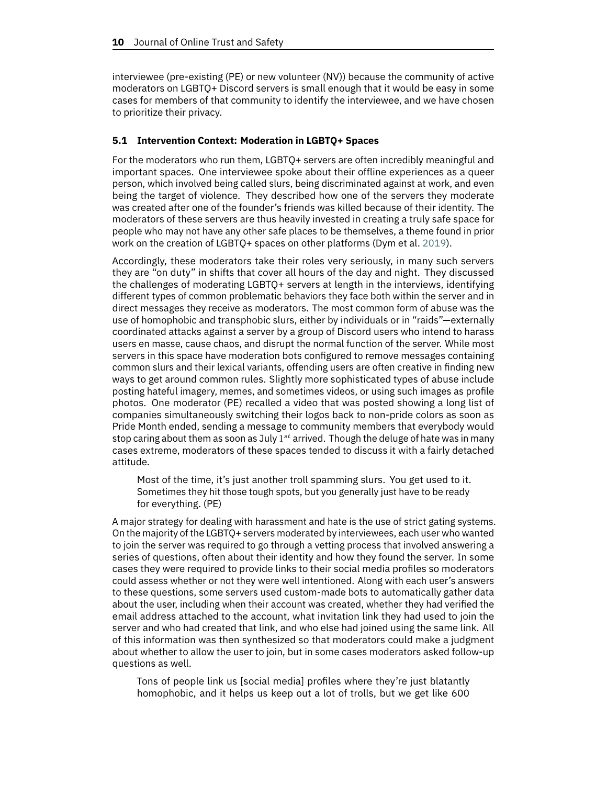interviewee (pre-existing (PE) or new volunteer (NV)) because the community of active moderators on LGBTQ+ Discord servers is small enough that it would be easy in some cases for members of that community to identify the interviewee, and we have chosen to prioritize their privacy.

#### **5.1 Intervention Context: Moderation in LGBTQ+ Spaces**

For the moderators who run them, LGBTQ+ servers are often incredibly meaningful and important spaces. One interviewee spoke about their offline experiences as a queer person, which involved being called slurs, being discriminated against at work, and even being the target of violence. They described how one of the servers they moderate was created after one of the founder's friends was killed because of their identity. The moderators of these servers are thus heavily invested in creating a truly safe space for people who may not have any other safe places to be themselves, a theme found in prior work on the creation of LGBTQ+ spaces on other platforms (Dym et al. [2019\)](#page-15-10).

Accordingly, these moderators take their roles very seriously, in many such servers they are "on duty" in shifts that cover all hours of the day and night. They discussed the challenges of moderating LGBTQ+ servers at length in the interviews, identifying different types of common problematic behaviors they face both within the server and in direct messages they receive as moderators. The most common form of abuse was the use of homophobic and transphobic slurs, either by individuals or in "raids"—externally coordinated attacks against a server by a group of Discord users who intend to harass users en masse, cause chaos, and disrupt the normal function of the server. While most servers in this space have moderation bots configured to remove messages containing common slurs and their lexical variants, offending users are often creative in finding new ways to get around common rules. Slightly more sophisticated types of abuse include posting hateful imagery, memes, and sometimes videos, or using such images as profile photos. One moderator (PE) recalled a video that was posted showing a long list of companies simultaneously switching their logos back to non-pride colors as soon as Pride Month ended, sending a message to community members that everybody would stop caring about them as soon as July  $1^{st}$  arrived. Though the deluge of hate was in many cases extreme, moderators of these spaces tended to discuss it with a fairly detached attitude.

Most of the time, it's just another troll spamming slurs. You get used to it. Sometimes they hit those tough spots, but you generally just have to be ready for everything. (PE)

A major strategy for dealing with harassment and hate is the use of strict gating systems. On the majority of the LGBTQ+ servers moderated by interviewees, each user who wanted to join the server was required to go through a vetting process that involved answering a series of questions, often about their identity and how they found the server. In some cases they were required to provide links to their social media profiles so moderators could assess whether or not they were well intentioned. Along with each user's answers to these questions, some servers used custom-made bots to automatically gather data about the user, including when their account was created, whether they had verified the email address attached to the account, what invitation link they had used to join the server and who had created that link, and who else had joined using the same link. All of this information was then synthesized so that moderators could make a judgment about whether to allow the user to join, but in some cases moderators asked follow-up questions as well.

Tons of people link us [social media] profiles where they're just blatantly homophobic, and it helps us keep out a lot of trolls, but we get like 600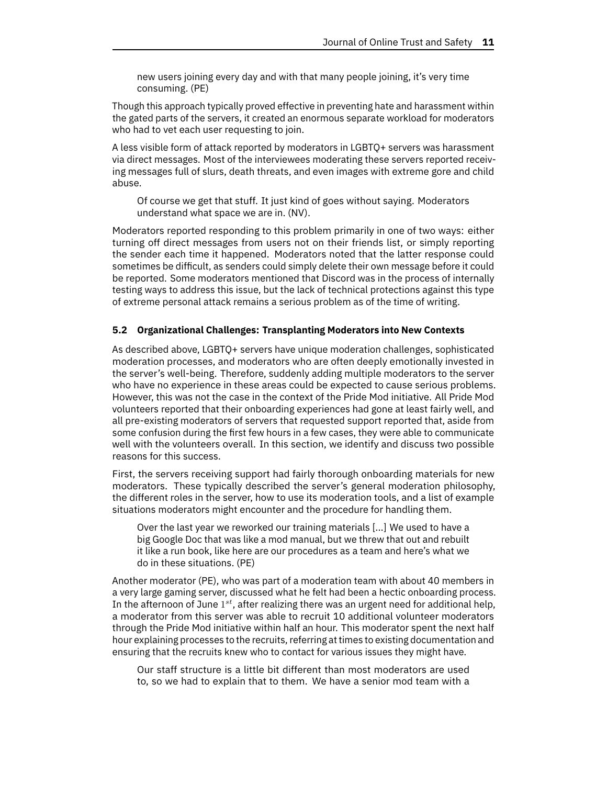new users joining every day and with that many people joining, it's very time consuming. (PE)

Though this approach typically proved effective in preventing hate and harassment within the gated parts of the servers, it created an enormous separate workload for moderators who had to vet each user requesting to join.

A less visible form of attack reported by moderators in LGBTQ+ servers was harassment via direct messages. Most of the interviewees moderating these servers reported receiving messages full of slurs, death threats, and even images with extreme gore and child abuse.

Of course we get that stuff. It just kind of goes without saying. Moderators understand what space we are in. (NV).

Moderators reported responding to this problem primarily in one of two ways: either turning off direct messages from users not on their friends list, or simply reporting the sender each time it happened. Moderators noted that the latter response could sometimes be difficult, as senders could simply delete their own message before it could be reported. Some moderators mentioned that Discord was in the process of internally testing ways to address this issue, but the lack of technical protections against this type of extreme personal attack remains a serious problem as of the time of writing.

#### **5.2 Organizational Challenges: Transplanting Moderators into New Contexts**

As described above, LGBTQ+ servers have unique moderation challenges, sophisticated moderation processes, and moderators who are often deeply emotionally invested in the server's well-being. Therefore, suddenly adding multiple moderators to the server who have no experience in these areas could be expected to cause serious problems. However, this was not the case in the context of the Pride Mod initiative. All Pride Mod volunteers reported that their onboarding experiences had gone at least fairly well, and all pre-existing moderators of servers that requested support reported that, aside from some confusion during the first few hours in a few cases, they were able to communicate well with the volunteers overall. In this section, we identify and discuss two possible reasons for this success.

First, the servers receiving support had fairly thorough onboarding materials for new moderators. These typically described the server's general moderation philosophy, the different roles in the server, how to use its moderation tools, and a list of example situations moderators might encounter and the procedure for handling them.

Over the last year we reworked our training materials [...] We used to have a big Google Doc that was like a mod manual, but we threw that out and rebuilt it like a run book, like here are our procedures as a team and here's what we do in these situations. (PE)

Another moderator (PE), who was part of a moderation team with about 40 members in a very large gaming server, discussed what he felt had been a hectic onboarding process. In the afternoon of June  $1^{st}$ , after realizing there was an urgent need for additional help, a moderator from this server was able to recruit 10 additional volunteer moderators through the Pride Mod initiative within half an hour. This moderator spent the next half hour explaining processes to the recruits, referring at times to existing documentation and ensuring that the recruits knew who to contact for various issues they might have.

Our staff structure is a little bit different than most moderators are used to, so we had to explain that to them. We have a senior mod team with a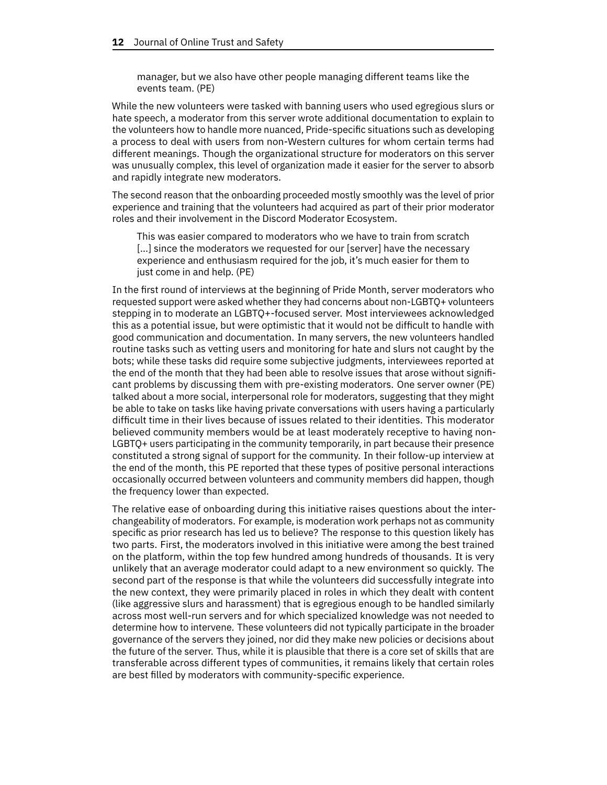manager, but we also have other people managing different teams like the events team. (PE)

While the new volunteers were tasked with banning users who used egregious slurs or hate speech, a moderator from this server wrote additional documentation to explain to the volunteers how to handle more nuanced, Pride-specific situations such as developing a process to deal with users from non-Western cultures for whom certain terms had different meanings. Though the organizational structure for moderators on this server was unusually complex, this level of organization made it easier for the server to absorb and rapidly integrate new moderators.

The second reason that the onboarding proceeded mostly smoothly was the level of prior experience and training that the volunteers had acquired as part of their prior moderator roles and their involvement in the Discord Moderator Ecosystem.

This was easier compared to moderators who we have to train from scratch [...] since the moderators we requested for our [server] have the necessary experience and enthusiasm required for the job, it's much easier for them to just come in and help. (PE)

In the first round of interviews at the beginning of Pride Month, server moderators who requested support were asked whether they had concerns about non-LGBTQ+ volunteers stepping in to moderate an LGBTQ+-focused server. Most interviewees acknowledged this as a potential issue, but were optimistic that it would not be difficult to handle with good communication and documentation. In many servers, the new volunteers handled routine tasks such as vetting users and monitoring for hate and slurs not caught by the bots; while these tasks did require some subjective judgments, interviewees reported at the end of the month that they had been able to resolve issues that arose without significant problems by discussing them with pre-existing moderators. One server owner (PE) talked about a more social, interpersonal role for moderators, suggesting that they might be able to take on tasks like having private conversations with users having a particularly difficult time in their lives because of issues related to their identities. This moderator believed community members would be at least moderately receptive to having non-LGBTQ+ users participating in the community temporarily, in part because their presence constituted a strong signal of support for the community. In their follow-up interview at the end of the month, this PE reported that these types of positive personal interactions occasionally occurred between volunteers and community members did happen, though the frequency lower than expected.

The relative ease of onboarding during this initiative raises questions about the interchangeability of moderators. For example, is moderation work perhaps not as community specific as prior research has led us to believe? The response to this question likely has two parts. First, the moderators involved in this initiative were among the best trained on the platform, within the top few hundred among hundreds of thousands. It is very unlikely that an average moderator could adapt to a new environment so quickly. The second part of the response is that while the volunteers did successfully integrate into the new context, they were primarily placed in roles in which they dealt with content (like aggressive slurs and harassment) that is egregious enough to be handled similarly across most well-run servers and for which specialized knowledge was not needed to determine how to intervene. These volunteers did not typically participate in the broader governance of the servers they joined, nor did they make new policies or decisions about the future of the server. Thus, while it is plausible that there is a core set of skills that are transferable across different types of communities, it remains likely that certain roles are best filled by moderators with community-specific experience.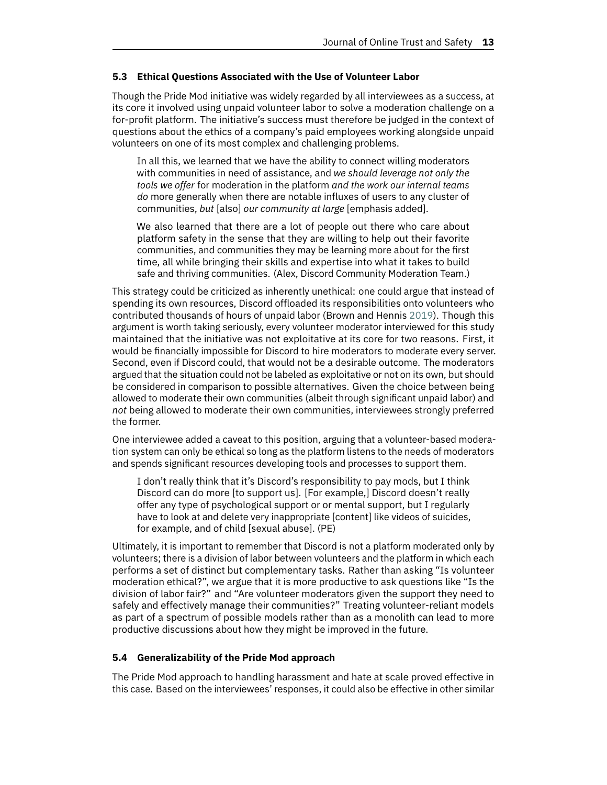#### **5.3 Ethical Questions Associated with the Use of Volunteer Labor**

Though the Pride Mod initiative was widely regarded by all interviewees as a success, at its core it involved using unpaid volunteer labor to solve a moderation challenge on a for-profit platform. The initiative's success must therefore be judged in the context of questions about the ethics of a company's paid employees working alongside unpaid volunteers on one of its most complex and challenging problems.

In all this, we learned that we have the ability to connect willing moderators with communities in need of assistance, and *we should leverage not only the tools we offer* for moderation in the platform *and the work our internal teams do* more generally when there are notable influxes of users to any cluster of communities, *but* [also] *our community at large* [emphasis added].

We also learned that there are a lot of people out there who care about platform safety in the sense that they are willing to help out their favorite communities, and communities they may be learning more about for the first time, all while bringing their skills and expertise into what it takes to build safe and thriving communities. (Alex, Discord Community Moderation Team.)

This strategy could be criticized as inherently unethical: one could argue that instead of spending its own resources, Discord offloaded its responsibilities onto volunteers who contributed thousands of hours of unpaid labor (Brown and Hennis [2019\)](#page-15-11). Though this argument is worth taking seriously, every volunteer moderator interviewed for this study maintained that the initiative was not exploitative at its core for two reasons. First, it would be financially impossible for Discord to hire moderators to moderate every server. Second, even if Discord could, that would not be a desirable outcome. The moderators argued that the situation could not be labeled as exploitative or not on its own, but should be considered in comparison to possible alternatives. Given the choice between being allowed to moderate their own communities (albeit through significant unpaid labor) and *not* being allowed to moderate their own communities, interviewees strongly preferred the former.

One interviewee added a caveat to this position, arguing that a volunteer-based moderation system can only be ethical so long as the platform listens to the needs of moderators and spends significant resources developing tools and processes to support them.

I don't really think that it's Discord's responsibility to pay mods, but I think Discord can do more [to support us]. [For example,] Discord doesn't really offer any type of psychological support or or mental support, but I regularly have to look at and delete very inappropriate [content] like videos of suicides, for example, and of child [sexual abuse]. (PE)

Ultimately, it is important to remember that Discord is not a platform moderated only by volunteers; there is a division of labor between volunteers and the platform in which each performs a set of distinct but complementary tasks. Rather than asking "Is volunteer moderation ethical?", we argue that it is more productive to ask questions like "Is the division of labor fair?" and "Are volunteer moderators given the support they need to safely and effectively manage their communities?" Treating volunteer-reliant models as part of a spectrum of possible models rather than as a monolith can lead to more productive discussions about how they might be improved in the future.

#### **5.4 Generalizability of the Pride Mod approach**

The Pride Mod approach to handling harassment and hate at scale proved effective in this case. Based on the interviewees' responses, it could also be effective in other similar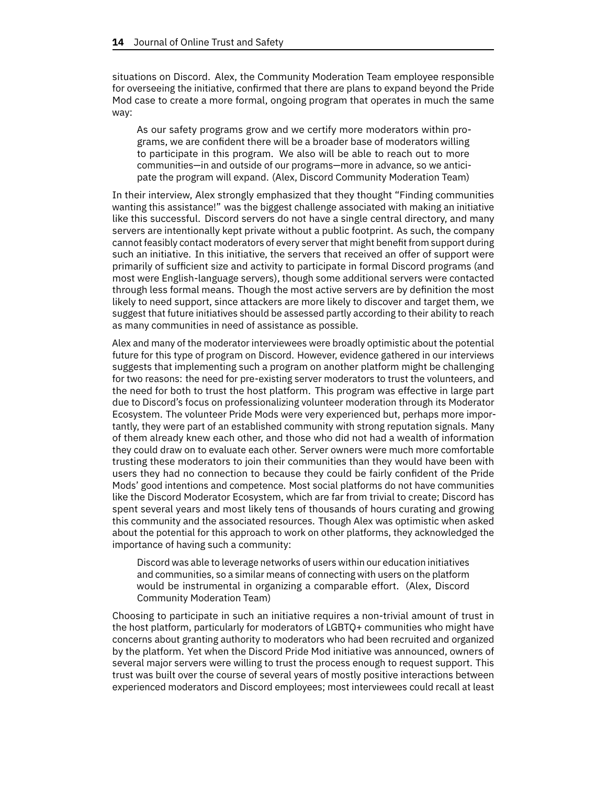situations on Discord. Alex, the Community Moderation Team employee responsible for overseeing the initiative, confirmed that there are plans to expand beyond the Pride Mod case to create a more formal, ongoing program that operates in much the same way:

As our safety programs grow and we certify more moderators within programs, we are confident there will be a broader base of moderators willing to participate in this program. We also will be able to reach out to more communities—in and outside of our programs—more in advance, so we anticipate the program will expand. (Alex, Discord Community Moderation Team)

In their interview, Alex strongly emphasized that they thought "Finding communities wanting this assistance!" was the biggest challenge associated with making an initiative like this successful. Discord servers do not have a single central directory, and many servers are intentionally kept private without a public footprint. As such, the company cannot feasibly contact moderators of every serverthat might benefit from support during such an initiative. In this initiative, the servers that received an offer of support were primarily of sufficient size and activity to participate in formal Discord programs (and most were English-language servers), though some additional servers were contacted through less formal means. Though the most active servers are by definition the most likely to need support, since attackers are more likely to discover and target them, we suggest that future initiatives should be assessed partly according to their ability to reach as many communities in need of assistance as possible.

Alex and many of the moderator interviewees were broadly optimistic about the potential future for this type of program on Discord. However, evidence gathered in our interviews suggests that implementing such a program on another platform might be challenging for two reasons: the need for pre-existing server moderators to trust the volunteers, and the need for both to trust the host platform. This program was effective in large part due to Discord's focus on professionalizing volunteer moderation through its Moderator Ecosystem. The volunteer Pride Mods were very experienced but, perhaps more importantly, they were part of an established community with strong reputation signals. Many of them already knew each other, and those who did not had a wealth of information they could draw on to evaluate each other. Server owners were much more comfortable trusting these moderators to join their communities than they would have been with users they had no connection to because they could be fairly confident of the Pride Mods' good intentions and competence. Most social platforms do not have communities like the Discord Moderator Ecosystem, which are far from trivial to create; Discord has spent several years and most likely tens of thousands of hours curating and growing this community and the associated resources. Though Alex was optimistic when asked about the potential for this approach to work on other platforms, they acknowledged the importance of having such a community:

Discord was able to leverage networks of users within our education initiatives and communities, so a similar means of connecting with users on the platform would be instrumental in organizing a comparable effort. (Alex, Discord Community Moderation Team)

Choosing to participate in such an initiative requires a non-trivial amount of trust in the host platform, particularly for moderators of LGBTQ+ communities who might have concerns about granting authority to moderators who had been recruited and organized by the platform. Yet when the Discord Pride Mod initiative was announced, owners of several major servers were willing to trust the process enough to request support. This trust was built over the course of several years of mostly positive interactions between experienced moderators and Discord employees; most interviewees could recall at least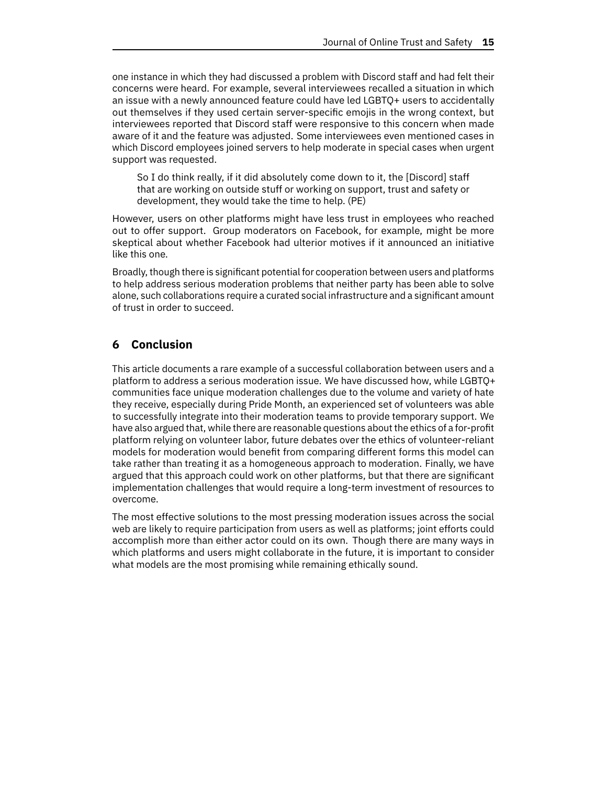one instance in which they had discussed a problem with Discord staff and had felt their concerns were heard. For example, several interviewees recalled a situation in which an issue with a newly announced feature could have led LGBTQ+ users to accidentally out themselves if they used certain server-specific emojis in the wrong context, but interviewees reported that Discord staff were responsive to this concern when made aware of it and the feature was adjusted. Some interviewees even mentioned cases in which Discord employees joined servers to help moderate in special cases when urgent support was requested.

So I do think really, if it did absolutely come down to it, the [Discord] staff that are working on outside stuff or working on support, trust and safety or development, they would take the time to help. (PE)

However, users on other platforms might have less trust in employees who reached out to offer support. Group moderators on Facebook, for example, might be more skeptical about whether Facebook had ulterior motives if it announced an initiative like this one.

Broadly, though there is significant potential for cooperation between users and platforms to help address serious moderation problems that neither party has been able to solve alone, such collaborations require a curated social infrastructure and a significant amount of trust in order to succeed.

# **6 Conclusion**

This article documents a rare example of a successful collaboration between users and a platform to address a serious moderation issue. We have discussed how, while LGBTQ+ communities face unique moderation challenges due to the volume and variety of hate they receive, especially during Pride Month, an experienced set of volunteers was able to successfully integrate into their moderation teams to provide temporary support. We have also argued that, while there are reasonable questions about the ethics of a for-profit platform relying on volunteer labor, future debates over the ethics of volunteer-reliant models for moderation would benefit from comparing different forms this model can take rather than treating it as a homogeneous approach to moderation. Finally, we have argued that this approach could work on other platforms, but that there are significant implementation challenges that would require a long-term investment of resources to overcome.

The most effective solutions to the most pressing moderation issues across the social web are likely to require participation from users as well as platforms; joint efforts could accomplish more than either actor could on its own. Though there are many ways in which platforms and users might collaborate in the future, it is important to consider what models are the most promising while remaining ethically sound.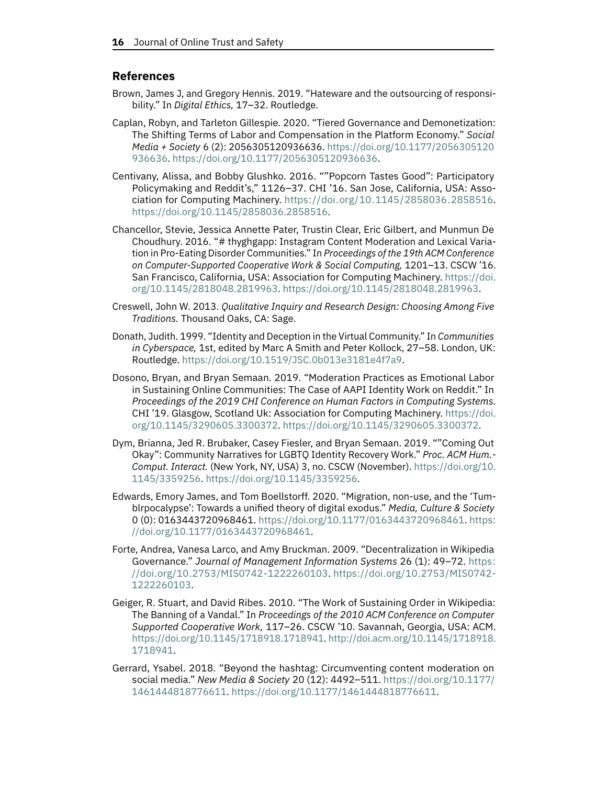# **References**

- <span id="page-15-11"></span>Brown, James J, and Gregory Hennis. 2019. "Hateware and the outsourcing of responsibility." In *Digital Ethics,* 17–32. Routledge.
- <span id="page-15-8"></span>Caplan, Robyn, and Tarleton Gillespie. 2020. "Tiered Governance and Demonetization: The Shifting Terms of Labor and Compensation in the Platform Economy." *Social Media + Society* 6 (2): 2056305120936636. [https://doi.org/10.1177/2056305120](https://doi.org/10.1177/2056305120936636) [936636.](https://doi.org/10.1177/2056305120936636) [https://doi.org/10.1177/2056305120936636.](https://doi.org/10.1177/2056305120936636)
- <span id="page-15-6"></span>Centivany, Alissa, and Bobby Glushko. 2016. ""Popcorn Tastes Good": Participatory Policymaking and Reddit's," 1126–37. CHI '16. San Jose, California, USA: Association for Computing Machinery. [https://doi.org/10.1145/2858036.2858516.](https://doi.org/10.1145/2858036.2858516) [https://doi.org/10.1145/2858036.2858516.](https://doi.org/10.1145/2858036.2858516)
- <span id="page-15-5"></span>Chancellor, Stevie, Jessica Annette Pater, Trustin Clear, Eric Gilbert, and Munmun De Choudhury. 2016. "# thyghgapp: Instagram Content Moderation and Lexical Variation in Pro-Eating Disorder Communities." In *Proceedings of the 19th ACM Conference on Computer-Supported Cooperative Work & Social Computing,* 1201–13. CSCW '16. San Francisco, California, USA: Association for Computing Machinery. [https://doi.](https://doi.org/10.1145/2818048.2819963) [org/10.1145/2818048.2819963.](https://doi.org/10.1145/2818048.2819963) [https://doi.org/10.1145/2818048.2819963.](https://doi.org/10.1145/2818048.2819963)
- <span id="page-15-9"></span>Creswell, John W. 2013. *Qualitative Inquiry and Research Design: Choosing Among Five Traditions.* Thousand Oaks, CA: Sage.
- <span id="page-15-0"></span>Donath, Judith. 1999. "Identity and Deception in the Virtual Community." In *Communities in Cyberspace,* 1st, edited by Marc A Smith and Peter Kollock, 27–58. London, UK: Routledge. [https://doi.org/10.1519/JSC.0b013e3181e4f7a9.](https://doi.org/10.1519/JSC.0b013e3181e4f7a9)
- <span id="page-15-3"></span>Dosono, Bryan, and Bryan Semaan. 2019. "Moderation Practices as Emotional Labor in Sustaining Online Communities: The Case of AAPI Identity Work on Reddit." In *Proceedings of the 2019 CHI Conference on Human Factors in Computing Systems.* CHI '19. Glasgow, Scotland Uk: Association for Computing Machinery. [https://doi.](https://doi.org/10.1145/3290605.3300372) [org/10.1145/3290605.3300372.](https://doi.org/10.1145/3290605.3300372) [https://doi.org/10.1145/3290605.3300372.](https://doi.org/10.1145/3290605.3300372)
- <span id="page-15-10"></span>Dym, Brianna, Jed R. Brubaker, Casey Fiesler, and Bryan Semaan. 2019. ""Coming Out Okay": Community Narratives for LGBTQ Identity Recovery Work." *Proc. ACM Hum.- Comput. Interact.* (New York, NY, USA) 3, no. CSCW (November). [https://doi.org/10.](https://doi.org/10.1145/3359256) [1145/3359256.](https://doi.org/10.1145/3359256) [https://doi.org/10.1145/3359256.](https://doi.org/10.1145/3359256)
- <span id="page-15-7"></span>Edwards, Emory James, and Tom Boellstorff. 2020. "Migration, non-use, and the 'Tumblrpocalypse': Towards a unified theory of digital exodus." *Media, Culture & Society* 0 (0): 0163443720968461. [https://doi.org/10.1177/0163443720968461.](https://doi.org/10.1177/0163443720968461) [https:](https://doi.org/10.1177/0163443720968461) [//doi.org/10.1177/0163443720968461.](https://doi.org/10.1177/0163443720968461)
- <span id="page-15-1"></span>Forte, Andrea, Vanesa Larco, and Amy Bruckman. 2009. "Decentralization in Wikipedia Governance." *Journal of Management Information Systems* 26 (1): 49–72. [https:](https://doi.org/10.2753/MIS0742-1222260103) [//doi.org/10.2753/MIS0742-1222260103.](https://doi.org/10.2753/MIS0742-1222260103) [https://doi.org/10.2753/MIS0742-](https://doi.org/10.2753/MIS0742-1222260103) [1222260103.](https://doi.org/10.2753/MIS0742-1222260103)
- <span id="page-15-2"></span>Geiger, R. Stuart, and David Ribes. 2010. "The Work of Sustaining Order in Wikipedia: The Banning of a Vandal." In *Proceedings of the 2010 ACM Conference on Computer Supported Cooperative Work,* 117–26. CSCW '10. Savannah, Georgia, USA: ACM. [https://doi.org/10.1145/1718918.1718941.](https://doi.org/10.1145/1718918.1718941) [http://doi.acm.org/10.1145/1718918.](http://doi.acm.org/10.1145/1718918.1718941) [1718941.](http://doi.acm.org/10.1145/1718918.1718941)
- <span id="page-15-4"></span>Gerrard, Ysabel. 2018. "Beyond the hashtag: Circumventing content moderation on social media." *New Media & Society* 20 (12): 4492–511. [https://doi.org/10.1177/](https://doi.org/10.1177/1461444818776611) [1461444818776611.](https://doi.org/10.1177/1461444818776611) [https://doi.org/10.1177/1461444818776611.](https://doi.org/10.1177/1461444818776611)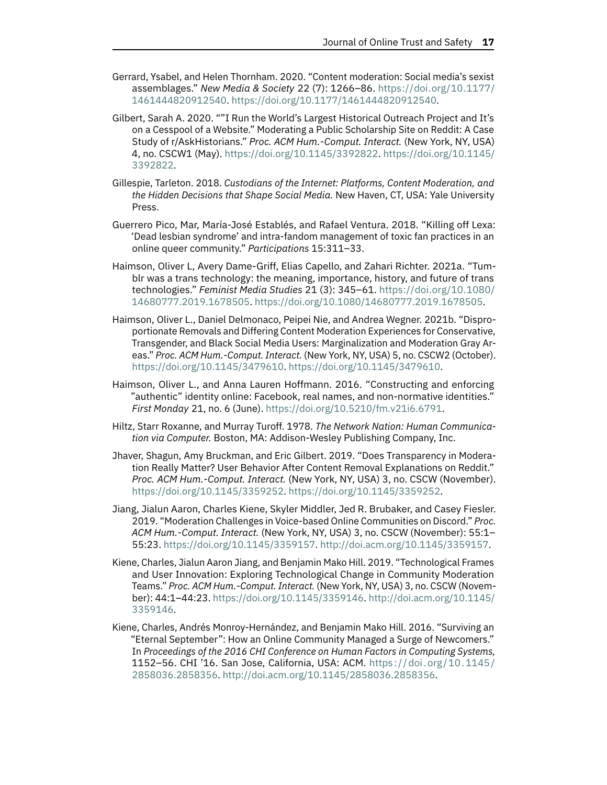- <span id="page-16-9"></span>Gerrard, Ysabel, and Helen Thornham. 2020. "Content moderation: Social media's sexist assemblages." *New Media & Society* 22 (7): 1266–86. [https://doi.org/10.1177/](https://doi.org/10.1177/1461444820912540) [1461444820912540.](https://doi.org/10.1177/1461444820912540) [https://doi.org/10.1177/1461444820912540.](https://doi.org/10.1177/1461444820912540)
- <span id="page-16-6"></span>Gilbert, Sarah A. 2020. ""I Run the World's Largest Historical Outreach Project and It's on a Cesspool of a Website." Moderating a Public Scholarship Site on Reddit: A Case Study of r/AskHistorians." *Proc. ACM Hum.-Comput. Interact.* (New York, NY, USA) 4, no. CSCW1 (May). [https://doi.org/10.1145/3392822.](https://doi.org/10.1145/3392822) [https://doi.org/10.1145/](https://doi.org/10.1145/3392822) [3392822.](https://doi.org/10.1145/3392822)
- <span id="page-16-0"></span>Gillespie, Tarleton. 2018. *Custodians of the Internet: Platforms, Content Moderation, and the Hidden Decisions that Shape Social Media.* New Haven, CT, USA: Yale University Press.
- <span id="page-16-8"></span>Guerrero Pico, Mar, María-José Establés, and Rafael Ventura. 2018. "Killing off Lexa: 'Dead lesbian syndrome' and intra-fandom management of toxic fan practices in an online queer community." *Participations* 15:311–33.
- <span id="page-16-11"></span>Haimson, Oliver L, Avery Dame-Griff, Elias Capello, and Zahari Richter. 2021a. "Tumblr was a trans technology: the meaning, importance, history, and future of trans technologies." *Feminist Media Studies* 21 (3): 345–61. [https://doi.org/10.1080/](https://doi.org/10.1080/14680777.2019.1678505) [14680777.2019.1678505.](https://doi.org/10.1080/14680777.2019.1678505) [https://doi.org/10.1080/14680777.2019.1678505.](https://doi.org/10.1080/14680777.2019.1678505)
- <span id="page-16-1"></span>Haimson, Oliver L., Daniel Delmonaco, Peipei Nie, and Andrea Wegner. 2021b. "Disproportionate Removals and Differing Content Moderation Experiences for Conservative, Transgender, and Black Social Media Users: Marginalization and Moderation Gray Areas." *Proc. ACM Hum.-Comput. Interact.* (New York, NY, USA) 5, no. CSCW2 (October). [https://doi.org/10.1145/3479610.](https://doi.org/10.1145/3479610) [https://doi.org/10.1145/3479610.](https://doi.org/10.1145/3479610)
- <span id="page-16-10"></span>Haimson, Oliver L., and Anna Lauren Hoffmann. 2016. "Constructing and enforcing "authentic" identity online: Facebook, real names, and non-normative identities." *First Monday* 21, no. 6 (June). [https://doi.org/10.5210/fm.v21i6.6791.](https://doi.org/10.5210/fm.v21i6.6791)
- <span id="page-16-5"></span>Hiltz, Starr Roxanne, and Murray Turoff. 1978. *The Network Nation: Human Communication via Computer.* Boston, MA: Addison-Wesley Publishing Company, Inc.
- <span id="page-16-7"></span>Jhaver, Shagun, Amy Bruckman, and Eric Gilbert. 2019. "Does Transparency in Moderation Really Matter? User Behavior After Content Removal Explanations on Reddit." *Proc. ACM Hum.-Comput. Interact.* (New York, NY, USA) 3, no. CSCW (November). [https://doi.org/10.1145/3359252.](https://doi.org/10.1145/3359252) [https://doi.org/10.1145/3359252.](https://doi.org/10.1145/3359252)
- <span id="page-16-2"></span>Jiang, Jialun Aaron, Charles Kiene, Skyler Middler, Jed R. Brubaker, and Casey Fiesler. 2019. "Moderation Challenges in Voice-based Online Communities on Discord." *Proc. ACM Hum.-Comput. Interact.* (New York, NY, USA) 3, no. CSCW (November): 55:1– 55:23. [https://doi.org/10.1145/3359157.](https://doi.org/10.1145/3359157) [http://doi.acm.org/10.1145/3359157.](http://doi.acm.org/10.1145/3359157)
- <span id="page-16-4"></span>Kiene, Charles, Jialun Aaron Jiang, and Benjamin Mako Hill. 2019. "Technological Frames and User Innovation: Exploring Technological Change in Community Moderation Teams." *Proc. ACM Hum.-Comput.Interact.* (New York, NY, USA) 3, no. CSCW (November): 44:1–44:23. [https://doi.org/10.1145/3359146.](https://doi.org/10.1145/3359146) [http://doi.acm.org/10.1145/](http://doi.acm.org/10.1145/3359146) [3359146.](http://doi.acm.org/10.1145/3359146)
- <span id="page-16-3"></span>Kiene, Charles, Andrés Monroy-Hernández, and Benjamin Mako Hill. 2016. "Surviving an "Eternal September": How an Online Community Managed a Surge of Newcomers." In *Proceedings of the 2016 CHI Conference on Human Factors in Computing Systems,* 1152–56. CHI '16. San Jose, California, USA: ACM. [https: / / doi. org /10. 1145 /](https://doi.org/10.1145/2858036.2858356) [2858036.2858356.](https://doi.org/10.1145/2858036.2858356) [http://doi.acm.org/10.1145/2858036.2858356.](http://doi.acm.org/10.1145/2858036.2858356)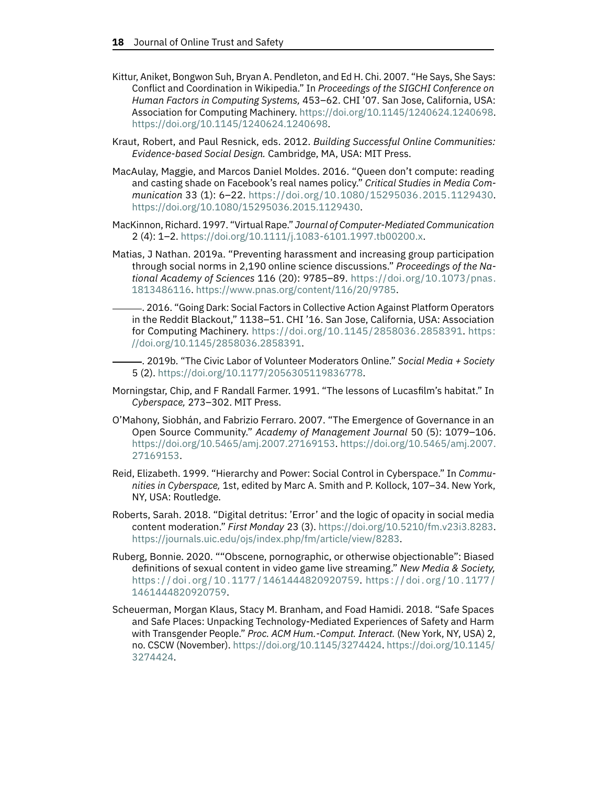- <span id="page-17-6"></span>Kittur, Aniket, Bongwon Suh, Bryan A. Pendleton, and Ed H. Chi. 2007. "He Says, She Says: Conflict and Coordination in Wikipedia." In *Proceedings of the SIGCHI Conference on Human Factors in Computing Systems,* 453–62. CHI '07. San Jose, California, USA: Association for Computing Machinery. [https://doi.org/10.1145/1240624.1240698.](https://doi.org/10.1145/1240624.1240698) [https://doi.org/10.1145/1240624.1240698.](https://doi.org/10.1145/1240624.1240698)
- <span id="page-17-8"></span>Kraut, Robert, and Paul Resnick, eds. 2012. *Building Successful Online Communities: Evidence-based Social Design.* Cambridge, MA, USA: MIT Press.
- <span id="page-17-12"></span>MacAulay, Maggie, and Marcos Daniel Moldes. 2016. "Queen don't compute: reading and casting shade on Facebook's real names policy." *Critical Studies in Media Communication* 33 (1): 6–22. [https://doi.org/10.1080/15295036.2015.1129430.](https://doi.org/10.1080/15295036.2015.1129430) [https://doi.org/10.1080/15295036.2015.1129430.](https://doi.org/10.1080/15295036.2015.1129430)
- <span id="page-17-4"></span>MacKinnon, Richard. 1997. "Virtual Rape." *Journal of Computer-Mediated Communication* 2 (4): 1–2. [https://doi.org/10.1111/j.1083-6101.1997.tb00200.x.](https://doi.org/10.1111/j.1083-6101.1997.tb00200.x)
- <span id="page-17-9"></span><span id="page-17-2"></span>Matias, J Nathan. 2019a. "Preventing harassment and increasing group participation through social norms in 2,190 online science discussions." *Proceedings of the National Academy of Sciences* 116 (20): 9785–89. [https://doi.org/10.1073/pnas.](https://doi.org/10.1073/pnas.1813486116) [1813486116.](https://doi.org/10.1073/pnas.1813486116) [https://www.pnas.org/content/116/20/9785.](https://www.pnas.org/content/116/20/9785)
	- . 2016. "Going Dark: Social Factors in Collective Action Against Platform Operators in the Reddit Blackout," 1138–51. CHI '16. San Jose, California, USA: Association for Computing Machinery. [https://doi.org/10.1145/2858036.2858391.](https://doi.org/10.1145/2858036.2858391) [https:](https://doi.org/10.1145/2858036.2858391) [//doi.org/10.1145/2858036.2858391.](https://doi.org/10.1145/2858036.2858391)
	- . 2019b. "The Civic Labor of Volunteer Moderators Online." *Social Media + Society* 5 (2). [https://doi.org/10.1177/2056305119836778.](https://doi.org/10.1177/2056305119836778)
- <span id="page-17-5"></span><span id="page-17-0"></span>Morningstar, Chip, and F Randall Farmer. 1991. "The lessons of Lucasfilm's habitat." In *Cyberspace,* 273–302. MIT Press.
- <span id="page-17-7"></span>O'Mahony, Siobhán, and Fabrizio Ferraro. 2007. "The Emergence of Governance in an Open Source Community." *Academy of Management Journal* 50 (5): 1079–106. [https://doi.org/10.5465/amj.2007.27169153.](https://doi.org/10.5465/amj.2007.27169153) [https://doi.org/10.5465/amj.2007.](https://doi.org/10.5465/amj.2007.27169153) [27169153.](https://doi.org/10.5465/amj.2007.27169153)
- <span id="page-17-3"></span>Reid, Elizabeth. 1999. "Hierarchy and Power: Social Control in Cyberspace." In *Communities in Cyberspace,* 1st, edited by Marc A. Smith and P. Kollock, 107–34. New York, NY, USA: Routledge.
- <span id="page-17-1"></span>Roberts, Sarah. 2018. "Digital detritus: 'Error' and the logic of opacity in social media content moderation." *First Monday* 23 (3). [https://doi.org/10.5210/fm.v23i3.8283.](https://doi.org/10.5210/fm.v23i3.8283) [https://journals.uic.edu/ojs/index.php/fm/article/view/8283.](https://journals.uic.edu/ojs/index.php/fm/article/view/8283)
- <span id="page-17-11"></span>Ruberg, Bonnie. 2020. ""Obscene, pornographic, or otherwise objectionable": Biased definitions of sexual content in video game live streaming." *New Media & Society,* https :// doi . org / 10 . 1177 / [1461444820920759.](https://doi.org/10.1177/1461444820920759) https :// doi . org / 10 . [1177](https://doi.org/10.1177/1461444820920759) / [1461444820920759.](https://doi.org/10.1177/1461444820920759)
- <span id="page-17-10"></span>Scheuerman, Morgan Klaus, Stacy M. Branham, and Foad Hamidi. 2018. "Safe Spaces and Safe Places: Unpacking Technology-Mediated Experiences of Safety and Harm with Transgender People." *Proc. ACM Hum.-Comput. Interact.* (New York, NY, USA) 2, no. CSCW (November). [https://doi.org/10.1145/3274424.](https://doi.org/10.1145/3274424) [https://doi.org/10.1145/](https://doi.org/10.1145/3274424) [3274424.](https://doi.org/10.1145/3274424)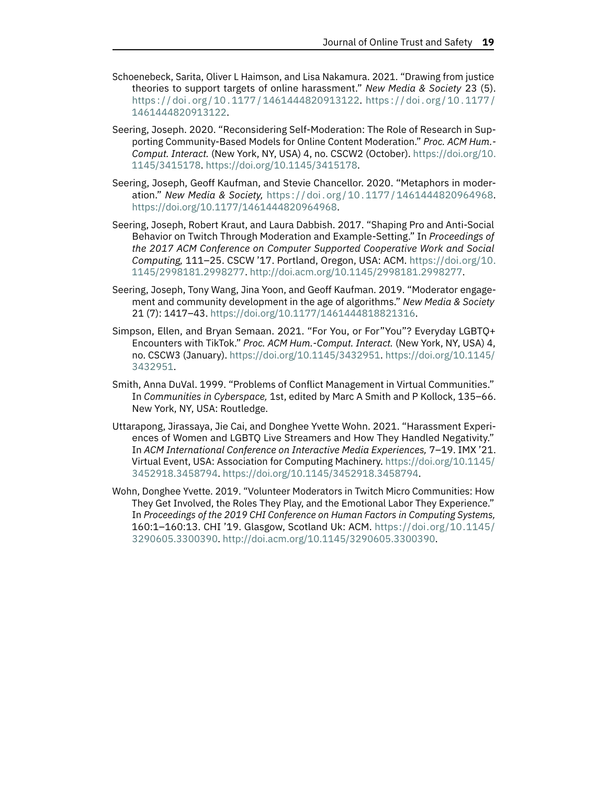- <span id="page-18-6"></span>Schoenebeck, Sarita, Oliver L Haimson, and Lisa Nakamura. 2021. "Drawing from justice theories to support targets of online harassment." *New Media & Society* 23 (5). https :// doi . org / 10 . 1177 / [1461444820913122.](https://doi.org/10.1177/1461444820913122) https :// doi . org / 10 . [1177](https://doi.org/10.1177/1461444820913122) / [1461444820913122.](https://doi.org/10.1177/1461444820913122)
- <span id="page-18-1"></span>Seering, Joseph. 2020. "Reconsidering Self-Moderation: The Role of Research in Supporting Community-Based Models for Online Content Moderation." *Proc. ACM Hum.- Comput. Interact.* (New York, NY, USA) 4, no. CSCW2 (October). [https://doi.org/10.](https://doi.org/10.1145/3415178) [1145/3415178.](https://doi.org/10.1145/3415178) [https://doi.org/10.1145/3415178.](https://doi.org/10.1145/3415178)
- <span id="page-18-5"></span>Seering, Joseph, Geoff Kaufman, and Stevie Chancellor. 2020. "Metaphors in moderation." *New Media & Society,* https ://doi . org [/10.1177/1461444820964968.](https://doi.org/10.1177/1461444820964968) [https://doi.org/10.1177/1461444820964968.](https://doi.org/10.1177/1461444820964968)
- <span id="page-18-3"></span>Seering, Joseph, Robert Kraut, and Laura Dabbish. 2017. "Shaping Pro and Anti-Social Behavior on Twitch Through Moderation and Example-Setting." In *Proceedings of the 2017 ACM Conference on Computer Supported Cooperative Work and Social Computing,* 111–25. CSCW '17. Portland, Oregon, USA: ACM. [https://doi.org/10.](https://doi.org/10.1145/2998181.2998277) [1145/2998181.2998277.](https://doi.org/10.1145/2998181.2998277) [http://doi.acm.org/10.1145/2998181.2998277.](http://doi.acm.org/10.1145/2998181.2998277)
- <span id="page-18-0"></span>Seering, Joseph, Tony Wang, Jina Yoon, and Geoff Kaufman. 2019. "Moderator engagement and community development in the age of algorithms." *New Media & Society* 21 (7): 1417–43. [https://doi.org/10.1177/1461444818821316.](https://doi.org/10.1177/1461444818821316)
- <span id="page-18-8"></span>Simpson, Ellen, and Bryan Semaan. 2021. "For You, or For"You"? Everyday LGBTQ+ Encounters with TikTok." *Proc. ACM Hum.-Comput. Interact.* (New York, NY, USA) 4, no. CSCW3 (January). [https://doi.org/10.1145/3432951.](https://doi.org/10.1145/3432951) [https://doi.org/10.1145/](https://doi.org/10.1145/3432951) [3432951.](https://doi.org/10.1145/3432951)
- <span id="page-18-2"></span>Smith, Anna DuVal. 1999. "Problems of Conflict Management in Virtual Communities." In *Communities in Cyberspace,* 1st, edited by Marc A Smith and P Kollock, 135–66. New York, NY, USA: Routledge.
- <span id="page-18-7"></span>Uttarapong, Jirassaya, Jie Cai, and Donghee Yvette Wohn. 2021. "Harassment Experiences of Women and LGBTQ Live Streamers and How They Handled Negativity." In *ACM International Conference on Interactive Media Experiences,* 7–19. IMX '21. Virtual Event, USA: Association for Computing Machinery. [https://doi.org/10.1145/](https://doi.org/10.1145/3452918.3458794) [3452918.3458794.](https://doi.org/10.1145/3452918.3458794) [https://doi.org/10.1145/3452918.3458794.](https://doi.org/10.1145/3452918.3458794)
- <span id="page-18-4"></span>Wohn, Donghee Yvette. 2019. "Volunteer Moderators in Twitch Micro Communities: How They Get Involved, the Roles They Play, and the Emotional Labor They Experience." In *Proceedings of the 2019 CHI Conference on Human Factors in Computing Systems,* 160:1–160:13. CHI '19. Glasgow, Scotland Uk: ACM. [https://doi.org/10.1145/](https://doi.org/10.1145/3290605.3300390) [3290605.3300390.](https://doi.org/10.1145/3290605.3300390) [http://doi.acm.org/10.1145/3290605.3300390.](http://doi.acm.org/10.1145/3290605.3300390)